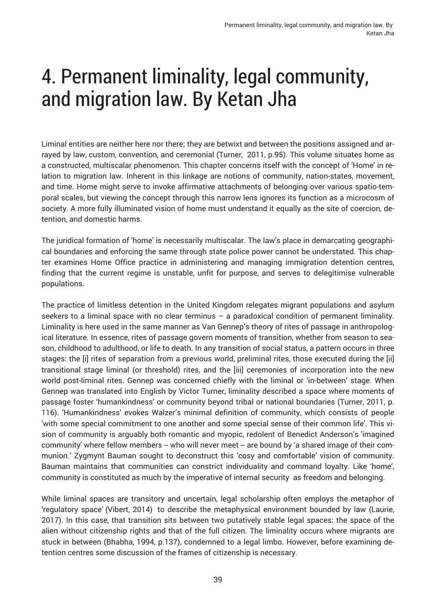Liminal entities are neither here nor there; they are betwixt and between the positions assigned and arrayed by law, custom, convention, and ceremonial (Turner, 2011, p.95). This volume situates home as a constructed, multiscalar phenomenon. This chapter concerns itself with the concept of 'Home' in relation to migration law. Inherent in this linkage are notions of community, nation-states, movement, and time. Home might serve to invoke affirmative attachments of belonging over various spatio-temporal scales, but viewing the concept through this narrow lens ignores its function as a microcosm of society. A more fully illuminated vision of home must understand it equally as the site of coercion, detention, and domestic harms.

The juridical formation of 'home' is necessarily multiscalar. The law's place in demarcating geographical boundaries and enforcing the same through state police power cannot be understated. This chapter examines Home Office practice in administering and managing immigration detention centres, finding that the current regime is unstable, unfit for purpose, and serves to delegitimise vulnerable populations.

The practice of limitless detention in the United Kingdom relegates migrant populations and asylum seekers to a liminal space with no clear terminus - a paradoxical condition of permanent liminality. Liminality is here used in the same manner as Van Gennep's theory of rites of passage in anthropological literature. In essence, rites of passage govern moments of transition, whether from season to season, childhood to adulthood, or life to death. In any transition of social status, a pattern occurs in three stages: the [i] rites of separation from a previous world, preliminal rites, those executed during the [ii] transitional stage liminal (or threshold) rites, and the [iii] ceremonies of incorporation into the new world post-liminal rites. Gennep was concerned chiefly with the liminal or 'in-between' stage. When Gennep was translated into English by Victor Turner, liminality described a space where moments of passage foster 'humankindness' or community beyond tribal or national boundaries (Turner, 2011, p. 116). 'Humankindness' evokes Walzer's minimal definition of community, which consists of people 'with some special commitment to one another and some special sense of their common life'. This vision of community is arguably both romantic and myopic, redolent of Benedict Anderson's 'imagined community' where fellow members -- who will never meet -- are bound by 'a shared image of their communion.' Zygmynt Bauman sought to deconstruct this 'cosy and comfortable' vision of community. Bauman maintains that communities can constrict individuality and command loyalty. Like 'home', community is constituted as much by the imperative of internal security as freedom and belonging.

While liminal spaces are transitory and uncertain, legal scholarship often employs the metaphor of 'regulatory space' (Vibert, 2014) to describe the metaphysical environment bounded by law (Laurie, 2017). In this case, that transition sits between two putatively stable legal spaces: the space of the alien without citizenship rights and that of the full citizen. The liminality occurs where migrants are stuck in between (Bhabha, 1994, p.137), condemned to a legal limbo. However, before examining detention centres some discussion of the frames of citizenship is necessary.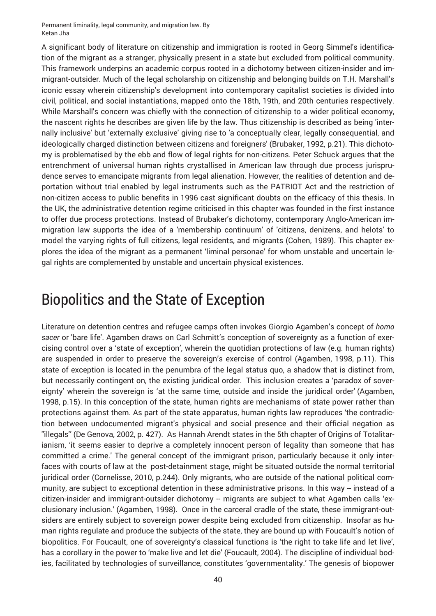A significant body of literature on citizenship and immigration is rooted in Georg Simmel's identification of the migrant as a stranger, physically present in a state but excluded from political community. This framework underpins an academic corpus rooted in a dichotomy between citizen-insider and immigrant-outsider. Much of the legal scholarship on citizenship and belonging builds on T.H. Marshall's iconic essay wherein citizenship's development into contemporary capitalist societies is divided into civil, political, and social instantiations, mapped onto the 18th, 19th, and 20th centuries respectively. While Marshall's concern was chiefly with the connection of citizenship to a wider political economy, the nascent rights he describes are given life by the law. Thus citizenship is described as being 'internally inclusive' but 'externally exclusive' giving rise to 'a conceptually clear, legally consequential, and ideologically charged distinction between citizens and foreigners' (Brubaker, 1992, p.21). This dichotomy is problematised by the ebb and flow of legal rights for non-citizens. Peter Schuck argues that the entrenchment of universal human rights crystallised in American law through due process jurisprudence serves to emancipate migrants from legal alienation. However, the realities of detention and deportation without trial enabled by legal instruments such as the PATRIOT Act and the restriction of non-citizen access to public benefits in 1996 cast significant doubts on the efficacy of this thesis. In the UK, the administrative detention regime criticised in this chapter was founded in the first instance to offer due process protections. Instead of Brubaker's dichotomy, contemporary Anglo-American immigration law supports the idea of a 'membership continuum' of 'citizens, denizens, and helots' to model the varying rights of full citizens, legal residents, and migrants (Cohen, 1989). This chapter explores the idea of the migrant as a permanent 'liminal personae' for whom unstable and uncertain legal rights are complemented by unstable and uncertain physical existences.

#### Biopolitics and the State of Exception

Literature on detention centres and refugee camps often invokes Giorgio Agamben's concept of *homo sacer* or 'bare life'. Agamben draws on Carl Schmitt's conception of sovereignty as a function of exercising control over a 'state of exception', wherein the quotidian protections of law (e.g. human rights) are suspended in order to preserve the sovereign's exercise of control (Agamben, 1998, p.11). This state of exception is located in the penumbra of the legal status quo, a shadow that is distinct from, but necessarily contingent on, the existing juridical order. This inclusion creates a 'paradox of sovereignty' wherein the sovereign is 'at the same time, outside and inside the juridical order' (Agamben, 1998, p.15). In this conception of the state, human rights are mechanisms of state power rather than protections against them. As part of the state apparatus, human rights law reproduces 'the contradiction between undocumented migrant's physical and social presence and their official negation as "illegals'' (De Genova, 2002, p. 427). As Hannah Arendt states in the 5th chapter of Origins of Totalitarianism, 'it seems easier to deprive a completely innocent person of legality than someone that has committed a crime.' The general concept of the immigrant prison, particularly because it only interfaces with courts of law at the post-detainment stage, might be situated outside the normal territorial juridical order (Cornelisse, 2010, p.244). Only migrants, who are outside of the national political community, are subject to exceptional detention in these administrative prisons. In this way -- instead of a citizen-insider and immigrant-outsider dichotomy -- migrants are subject to what Agamben calls 'exclusionary inclusion.' (Agamben, 1998). Once in the carceral cradle of the state, these immigrant-outsiders are entirely subject to sovereign power despite being excluded from citizenship. Insofar as human rights regulate and produce the subjects of the state, they are bound up with Foucault's notion of biopolitics. For Foucault, one of sovereignty's classical functions is 'the right to take life and let live', has a corollary in the power to 'make live and let die' (Foucault, 2004). The discipline of individual bodies, facilitated by technologies of surveillance, constitutes 'governmentality.' The genesis of biopower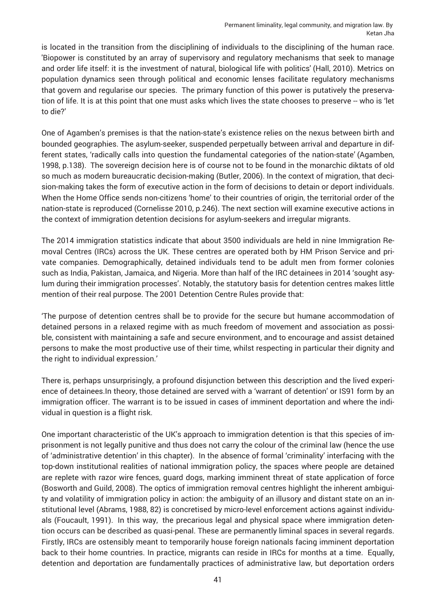is located in the transition from the disciplining of individuals to the disciplining of the human race. 'Biopower is constituted by an array of supervisory and regulatory mechanisms that seek to manage and order life itself: it is the investment of natural, biological life with politics' (Hall, 2010). Metrics on population dynamics seen through political and economic lenses facilitate regulatory mechanisms that govern and regularise our species. The primary function of this power is putatively the preservation of life. It is at this point that one must asks which lives the state chooses to preserve -- who is 'let to die?'

One of Agamben's premises is that the nation-state's existence relies on the nexus between birth and bounded geographies. The asylum-seeker, suspended perpetually between arrival and departure in different states, 'radically calls into question the fundamental categories of the nation-state' (Agamben, 1998, p.138). The sovereign decision here is of course not to be found in the monarchic diktats of old so much as modern bureaucratic decision-making (Butler, 2006). In the context of migration, that decision-making takes the form of executive action in the form of decisions to detain or deport individuals. When the Home Office sends non-citizens 'home' to their countries of origin, the territorial order of the nation-state is reproduced (Cornelisse 2010, p.246). The next section will examine executive actions in the context of immigration detention decisions for asylum-seekers and irregular migrants.

The 2014 immigration statistics indicate that about 3500 individuals are held in nine Immigration Removal Centres (IRCs) across the UK. These centres are operated both by HM Prison Service and private companies. Demographically, detained individuals tend to be adult men from former colonies such as India, Pakistan, Jamaica, and Nigeria. More than half of the IRC detainees in 2014 'sought asylum during their immigration processes'. Notably, the statutory basis for detention centres makes little mention of their real purpose. The 2001 Detention Centre Rules provide that:

'The purpose of detention centres shall be to provide for the secure but humane accommodation of detained persons in a relaxed regime with as much freedom of movement and association as possible, consistent with maintaining a safe and secure environment, and to encourage and assist detained persons to make the most productive use of their time, whilst respecting in particular their dignity and the right to individual expression.'

There is, perhaps unsurprisingly, a profound disjunction between this description and the lived experience of detainees.In theory, those detained are served with a 'warrant of detention' or IS91 form by an immigration officer. The warrant is to be issued in cases of imminent deportation and where the individual in question is a flight risk.

One important characteristic of the UK's approach to immigration detention is that this species of imprisonment is not legally punitive and thus does not carry the colour of the criminal law (hence the use of 'administrative detention' in this chapter). In the absence of formal 'criminality' interfacing with the top-down institutional realities of national immigration policy, the spaces where people are detained are replete with razor wire fences, guard dogs, marking imminent threat of state application of force (Bosworth and Guild, 2008). The optics of immigration removal centres highlight the inherent ambiguity and volatility of immigration policy in action: the ambiguity of an illusory and distant state on an institutional level (Abrams, 1988, 82) is concretised by micro-level enforcement actions against individuals (Foucault, 1991). In this way, the precarious legal and physical space where immigration detention occurs can be described as quasi-penal. These are permanently liminal spaces in several regards. Firstly, IRCs are ostensibly meant to temporarily house foreign nationals facing imminent deportation back to their home countries. In practice, migrants can reside in IRCs for months at a time. Equally, detention and deportation are fundamentally practices of administrative law, but deportation orders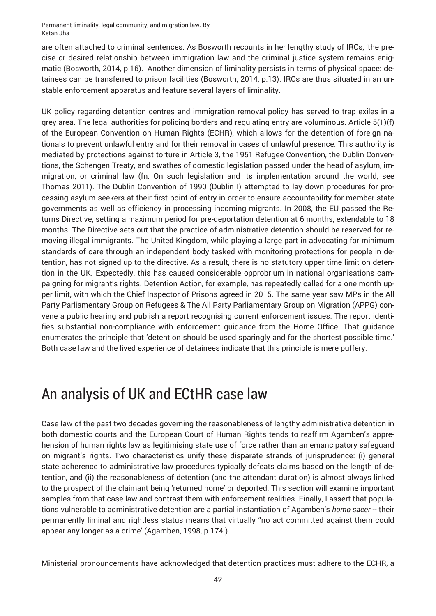are often attached to criminal sentences. As Bosworth recounts in her lengthy study of IRCs, 'the precise or desired relationship between immigration law and the criminal justice system remains enigmatic (Bosworth, 2014, p.16). Another dimension of liminality persists in terms of physical space: detainees can be transferred to prison facilities (Bosworth, 2014, p.13). IRCs are thus situated in an unstable enforcement apparatus and feature several layers of liminality.

UK policy regarding detention centres and immigration removal policy has served to trap exiles in a grey area. The legal authorities for policing borders and regulating entry are voluminous. Article 5(1)(f) of the European Convention on Human Rights (ECHR), which allows for the detention of foreign nationals to prevent unlawful entry and for their removal in cases of unlawful presence. This authority is mediated by protections against torture in Article 3, the 1951 Refugee Convention, the Dublin Conventions, the Schengen Treaty, and swathes of domestic legislation passed under the head of asylum, immigration, or criminal law (fn: On such legislation and its implementation around the world, see Thomas 2011). The Dublin Convention of 1990 (Dublin I) attempted to lay down procedures for processing asylum seekers at their first point of entry in order to ensure accountability for member state governments as well as efficiency in processing incoming migrants. In 2008, the EU passed the Returns Directive, setting a maximum period for pre-deportation detention at 6 months, extendable to 18 months. The Directive sets out that the practice of administrative detention should be reserved for removing illegal immigrants. The United Kingdom, while playing a large part in advocating for minimum standards of care through an independent body tasked with monitoring protections for people in detention, has not signed up to the directive. As a result, there is no statutory upper time limit on detention in the UK. Expectedly, this has caused considerable opprobrium in national organisations campaigning for migrant's rights. Detention Action, for example, has repeatedly called for a one month upper limit, with which the Chief Inspector of Prisons agreed in 2015. The same year saw MPs in the All Party Parliamentary Group on Refugees & The All Party Parliamentary Group on Migration (APPG) convene a public hearing and publish a report recognising current enforcement issues. The report identifies substantial non-compliance with enforcement guidance from the Home Office. That guidance enumerates the principle that 'detention should be used sparingly and for the shortest possible time.' Both case law and the lived experience of detainees indicate that this principle is mere puffery.

#### An analysis of UK and ECtHR case law

Case law of the past two decades governing the reasonableness of lengthy administrative detention in both domestic courts and the European Court of Human Rights tends to reaffirm Agamben's apprehension of human rights law as legitimising state use of force rather than an emancipatory safeguard on migrant's rights. Two characteristics unify these disparate strands of jurisprudence: (i) general state adherence to administrative law procedures typically defeats claims based on the length of detention, and (ii) the reasonableness of detention (and the attendant duration) is almost always linked to the prospect of the claimant being 'returned home' or deported. This section will examine important samples from that case law and contrast them with enforcement realities. Finally, I assert that populations vulnerable to administrative detention are a partial instantiation of Agamben's *homo sacer* -- their permanently liminal and rightless status means that virtually ''no act committed against them could appear any longer as a crime' (Agamben, 1998, p.174.)

Ministerial pronouncements have acknowledged that detention practices must adhere to the ECHR, a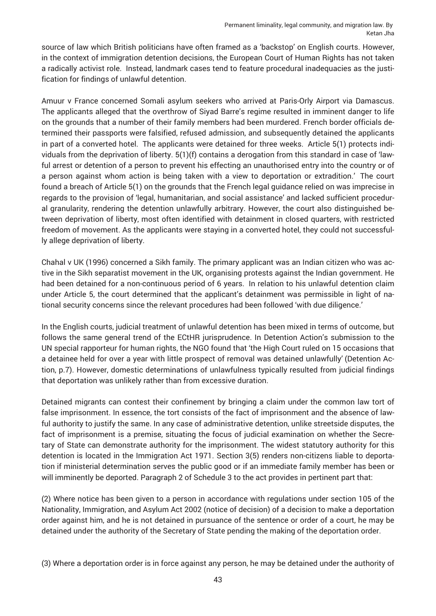source of law which British politicians have often framed as a 'backstop' on English courts. However, in the context of immigration detention decisions, the European Court of Human Rights has not taken a radically activist role. Instead, landmark cases tend to feature procedural inadequacies as the justification for findings of unlawful detention.

Amuur v France concerned Somali asylum seekers who arrived at Paris-Orly Airport via Damascus. The applicants alleged that the overthrow of Siyad Barre's regime resulted in imminent danger to life on the grounds that a number of their family members had been murdered. French border officials determined their passports were falsified, refused admission, and subsequently detained the applicants in part of a converted hotel. The applicants were detained for three weeks. Article 5(1) protects individuals from the deprivation of liberty. 5(1)(f) contains a derogation from this standard in case of 'lawful arrest or detention of a person to prevent his effecting an unauthorised entry into the country or of a person against whom action is being taken with a view to deportation or extradition.' The court found a breach of Article 5(1) on the grounds that the French legal guidance relied on was imprecise in regards to the provision of 'legal, humanitarian, and social assistance' and lacked sufficient procedural granularity, rendering the detention unlawfully arbitrary. However, the court also distinguished between deprivation of liberty, most often identified with detainment in closed quarters, with restricted freedom of movement. As the applicants were staying in a converted hotel, they could not successfully allege deprivation of liberty.

Chahal v UK (1996) concerned a Sikh family. The primary applicant was an Indian citizen who was active in the Sikh separatist movement in the UK, organising protests against the Indian government. He had been detained for a non-continuous period of 6 years. In relation to his unlawful detention claim under Article 5, the court determined that the applicant's detainment was permissible in light of national security concerns since the relevant procedures had been followed 'with due diligence.'

In the English courts, judicial treatment of unlawful detention has been mixed in terms of outcome, but follows the same general trend of the ECtHR jurisprudence. In Detention Action's submission to the UN special rapporteur for human rights, the NGO found that 'the High Court ruled on 15 occasions that a detainee held for over a year with little prospect of removal was detained unlawfully' (Detention Action, p.7). However, domestic determinations of unlawfulness typically resulted from judicial findings that deportation was unlikely rather than from excessive duration.

Detained migrants can contest their confinement by bringing a claim under the common law tort of false imprisonment. In essence, the tort consists of the fact of imprisonment and the absence of lawful authority to justify the same. In any case of administrative detention, unlike streetside disputes, the fact of imprisonment is a premise, situating the focus of judicial examination on whether the Secretary of State can demonstrate authority for the imprisonment. The widest statutory authority for this detention is located in the Immigration Act 1971. Section 3(5) renders non-citizens liable to deportation if ministerial determination serves the public good or if an immediate family member has been or will imminently be deported. Paragraph 2 of Schedule 3 to the act provides in pertinent part that:

(2) Where notice has been given to a person in accordance with regulations under section 105 of the Nationality, Immigration, and Asylum Act 2002 (notice of decision) of a decision to make a deportation order against him, and he is not detained in pursuance of the sentence or order of a court, he may be detained under the authority of the Secretary of State pending the making of the deportation order.

(3) Where a deportation order is in force against any person, he may be detained under the authority of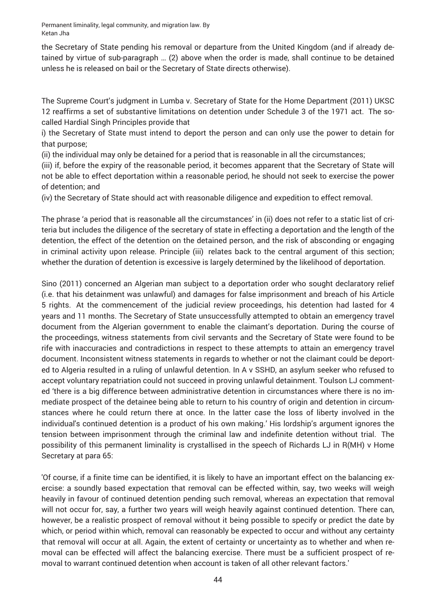the Secretary of State pending his removal or departure from the United Kingdom (and if already detained by virtue of sub-paragraph … (2) above when the order is made, shall continue to be detained unless he is released on bail or the Secretary of State directs otherwise).

The Supreme Court's judgment in Lumba v. Secretary of State for the Home Department (2011) UKSC 12 reaffirms a set of substantive limitations on detention under Schedule 3 of the 1971 act. The socalled Hardial Singh Principles provide that

i) the Secretary of State must intend to deport the person and can only use the power to detain for that purpose;

(ii) the individual may only be detained for a period that is reasonable in all the circumstances;

(iii) if, before the expiry of the reasonable period, it becomes apparent that the Secretary of State will not be able to effect deportation within a reasonable period, he should not seek to exercise the power of detention; and

(iv) the Secretary of State should act with reasonable diligence and expedition to effect removal.

The phrase 'a period that is reasonable all the circumstances' in (ii) does not refer to a static list of criteria but includes the diligence of the secretary of state in effecting a deportation and the length of the detention, the effect of the detention on the detained person, and the risk of absconding or engaging in criminal activity upon release. Principle (iii) relates back to the central argument of this section; whether the duration of detention is excessive is largely determined by the likelihood of deportation.

Sino (2011) concerned an Algerian man subject to a deportation order who sought declaratory relief (i.e. that his detainment was unlawful) and damages for false imprisonment and breach of his Article 5 rights. At the commencement of the judicial review proceedings, his detention had lasted for 4 years and 11 months. The Secretary of State unsuccessfully attempted to obtain an emergency travel document from the Algerian government to enable the claimant's deportation. During the course of the proceedings, witness statements from civil servants and the Secretary of State were found to be rife with inaccuracies and contradictions in respect to these attempts to attain an emergency travel document. Inconsistent witness statements in regards to whether or not the claimant could be deported to Algeria resulted in a ruling of unlawful detention. In A v SSHD, an asylum seeker who refused to accept voluntary repatriation could not succeed in proving unlawful detainment. Toulson LJ commented 'there is a big difference between administrative detention in circumstances where there is no immediate prospect of the detainee being able to return to his country of origin and detention in circumstances where he could return there at once. In the latter case the loss of liberty involved in the individual's continued detention is a product of his own making.' His lordship's argument ignores the tension between imprisonment through the criminal law and indefinite detention without trial. The possibility of this permanent liminality is crystallised in the speech of Richards LJ in R(MH) v Home Secretary at para 65:

'Of course, if a finite time can be identified, it is likely to have an important effect on the balancing exercise: a soundly based expectation that removal can be effected within, say, two weeks will weigh heavily in favour of continued detention pending such removal, whereas an expectation that removal will not occur for, say, a further two years will weigh heavily against continued detention. There can, however, be a realistic prospect of removal without it being possible to specify or predict the date by which, or period within which, removal can reasonably be expected to occur and without any certainty that removal will occur at all. Again, the extent of certainty or uncertainty as to whether and when removal can be effected will affect the balancing exercise. There must be a sufficient prospect of removal to warrant continued detention when account is taken of all other relevant factors.'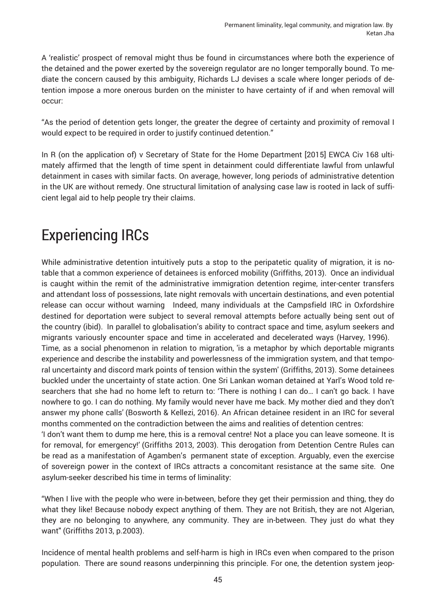A 'realistic' prospect of removal might thus be found in circumstances where both the experience of the detained and the power exerted by the sovereign regulator are no longer temporally bound. To mediate the concern caused by this ambiguity, Richards LJ devises a scale where longer periods of detention impose a more onerous burden on the minister to have certainty of if and when removal will occur:

"As the period of detention gets longer, the greater the degree of certainty and proximity of removal I would expect to be required in order to justify continued detention."

In R (on the application of) v Secretary of State for the Home Department [2015] EWCA Civ 168 ultimately affirmed that the length of time spent in detainment could differentiate lawful from unlawful detainment in cases with similar facts. On average, however, long periods of administrative detention in the UK are without remedy. One structural limitation of analysing case law is rooted in lack of sufficient legal aid to help people try their claims.

### Experiencing IRCs

While administrative detention intuitively puts a stop to the peripatetic quality of migration, it is notable that a common experience of detainees is enforced mobility (Griffiths, 2013). Once an individual is caught within the remit of the administrative immigration detention regime, inter-center transfers and attendant loss of possessions, late night removals with uncertain destinations, and even potential release can occur without warning Indeed, many individuals at the Campsfield IRC in Oxfordshire destined for deportation were subject to several removal attempts before actually being sent out of the country (ibid). In parallel to globalisation's ability to contract space and time, asylum seekers and migrants variously encounter space and time in accelerated and decelerated ways (Harvey, 1996). Time, as a social phenomenon in relation to migration, 'is a metaphor by which deportable migrants experience and describe the instability and powerlessness of the immigration system, and that temporal uncertainty and discord mark points of tension within the system' (Griffiths, 2013). Some detainees buckled under the uncertainty of state action. One Sri Lankan woman detained at Yarl's Wood told researchers that she had no home left to return to: 'There is nothing I can do… I can't go back. I have nowhere to go. I can do nothing. My family would never have me back. My mother died and they don't answer my phone calls' (Bosworth & Kellezi, 2016). An African detainee resident in an IRC for several months commented on the contradiction between the aims and realities of detention centres:

'I don't want them to dump me here, this is a removal centre! Not a place you can leave someone. It is for removal, for emergency!' (Griffiths 2013, 2003). This derogation from Detention Centre Rules can be read as a manifestation of Agamben's permanent state of exception. Arguably, even the exercise of sovereign power in the context of IRCs attracts a concomitant resistance at the same site. One asylum-seeker described his time in terms of liminality:

"When I live with the people who were in-between, before they get their permission and thing, they do what they like! Because nobody expect anything of them. They are not British, they are not Algerian, they are no belonging to anywhere, any community. They are in-between. They just do what they want" (Griffiths 2013, p.2003).

Incidence of mental health problems and self-harm is high in IRCs even when compared to the prison population. There are sound reasons underpinning this principle. For one, the detention system jeop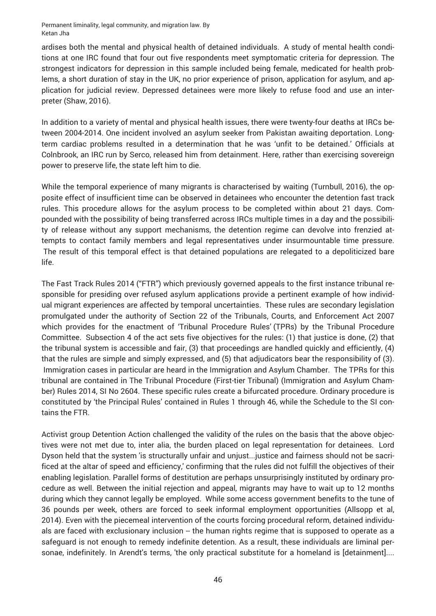ardises both the mental and physical health of detained individuals. A study of mental health conditions at one IRC found that four out five respondents meet symptomatic criteria for depression. The strongest indicators for depression in this sample included being female, medicated for health problems, a short duration of stay in the UK, no prior experience of prison, application for asylum, and application for judicial review. Depressed detainees were more likely to refuse food and use an interpreter (Shaw, 2016).

In addition to a variety of mental and physical health issues, there were twenty-four deaths at IRCs between 2004-2014. One incident involved an asylum seeker from Pakistan awaiting deportation. Longterm cardiac problems resulted in a determination that he was 'unfit to be detained.' Officials at Colnbrook, an IRC run by Serco, released him from detainment. Here, rather than exercising sovereign power to preserve life, the state left him to die.

While the temporal experience of many migrants is characterised by waiting (Turnbull, 2016), the opposite effect of insufficient time can be observed in detainees who encounter the detention fast track rules. This procedure allows for the asylum process to be completed within about 21 days. Compounded with the possibility of being transferred across IRCs multiple times in a day and the possibility of release without any support mechanisms, the detention regime can devolve into frenzied attempts to contact family members and legal representatives under insurmountable time pressure. The result of this temporal effect is that detained populations are relegated to a depoliticized bare life.

The Fast Track Rules 2014 ("FTR") which previously governed appeals to the first instance tribunal responsible for presiding over refused asylum applications provide a pertinent example of how individual migrant experiences are affected by temporal uncertainties. These rules are secondary legislation promulgated under the authority of Section 22 of the Tribunals, Courts, and Enforcement Act 2007 which provides for the enactment of 'Tribunal Procedure Rules' (TPRs) by the Tribunal Procedure Committee. Subsection 4 of the act sets five objectives for the rules: (1) that justice is done, (2) that the tribunal system is accessible and fair, (3) that proceedings are handled quickly and efficiently, (4) that the rules are simple and simply expressed, and (5) that adjudicators bear the responsibility of (3). Immigration cases in particular are heard in the Immigration and Asylum Chamber. The TPRs for this tribunal are contained in The Tribunal Procedure (First-tier Tribunal) (Immigration and Asylum Chamber) Rules 2014, SI No 2604. These specific rules create a bifurcated procedure. Ordinary procedure is constituted by 'the Principal Rules' contained in Rules 1 through 46, while the Schedule to the SI contains the FTR.

Activist group Detention Action challenged the validity of the rules on the basis that the above objectives were not met due to, inter alia, the burden placed on legal representation for detainees. Lord Dyson held that the system 'is structurally unfair and unjust...justice and fairness should not be sacrificed at the altar of speed and efficiency,' confirming that the rules did not fulfill the objectives of their enabling legislation. Parallel forms of destitution are perhaps unsurprisingly instituted by ordinary procedure as well. Between the initial rejection and appeal, migrants may have to wait up to 12 months during which they cannot legally be employed. While some access government benefits to the tune of 36 pounds per week, others are forced to seek informal employment opportunities (Allsopp et al, 2014). Even with the piecemeal intervention of the courts forcing procedural reform, detained individuals are faced with exclusionary inclusion -- the human rights regime that is supposed to operate as a safeguard is not enough to remedy indefinite detention. As a result, these individuals are liminal personae, indefinitely. In Arendt's terms, 'the only practical substitute for a homeland is [detainment]....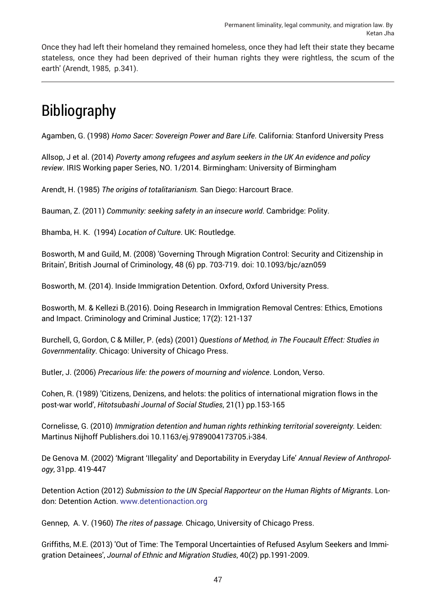Once they had left their homeland they remained homeless, once they had left their state they became stateless, once they had been deprived of their human rights they were rightless, the scum of the earth' (Arendt, 1985, p.341).

## Bibliography

Agamben, G. (1998) *Homo Sacer: Sovereign Power and Bare Life*. California: Stanford University Press

Allsop, J et al. (2014) *Poverty among refugees and asylum seekers in the UK An evidence and policy review*. IRIS Working paper Series, NO. 1/2014. Birmingham: University of Birmingham

Arendt, H. (1985) *The origins of totalitarianism.* San Diego: Harcourt Brace.

Bauman, Z. (2011) *Community: seeking safety in an insecure world*. Cambridge: Polity.

Bhamba, H. K. (1994) *Location of Culture*. UK: Routledge.

Bosworth, M and Guild, M. (2008) 'Governing Through Migration Control: Security and Citizenship in Britain', British Journal of Criminology, 48 (6) pp. 703-719. doi: 10.1093/bjc/azn059

Bosworth, M. (2014). Inside Immigration Detention. Oxford, Oxford University Press.

Bosworth, M. & Kellezi B.(2016). Doing Research in Immigration Removal Centres: Ethics, Emotions and Impact. Criminology and Criminal Justice; 17(2): 121-137

Burchell, G, Gordon, C & Miller, P. (eds) (2001) *Questions of Method, in The Foucault Effect: Studies in Governmentality*. Chicago: University of Chicago Press.

Butler, J. (2006) *Precarious life: the powers of mourning and violence*. London, Verso.

Cohen, R. (1989) 'Citizens, Denizens, and helots: the politics of international migration flows in the post-war world', *Hitotsubashi Journal of Social Studies*, 21(1) pp.153-165

Cornelisse, G. (2010) *Immigration detention and human rights rethinking territorial sovereignty.* Leiden: Martinus Nijhoff Publishers.doi 10.1163/ej.9789004173705.i-384.

De Genova M. (2002) 'Migrant 'Illegality' and Deportability in Everyday Life' *Annual Review of Anthropology*, 31pp. 419-447

Detention Action (2012) *Submission to the UN Special Rapporteur on the Human Rights of Migrants*. London: Detention Action. [www.detentionaction.org](http://detentionaction.org.uk/wordpress/wp-content/uploads/2011/10/unspecialrapporteursubmission0112.pdf)

Gennep, A. V. (1960) *The rites of passage.* Chicago, University of Chicago Press.

Griffiths, M.E. (2013) 'Out of Time: The Temporal Uncertainties of Refused Asylum Seekers and Immigration Detainees', *Journal of Ethnic and Migration Studies*, 40(2) pp.1991-2009.